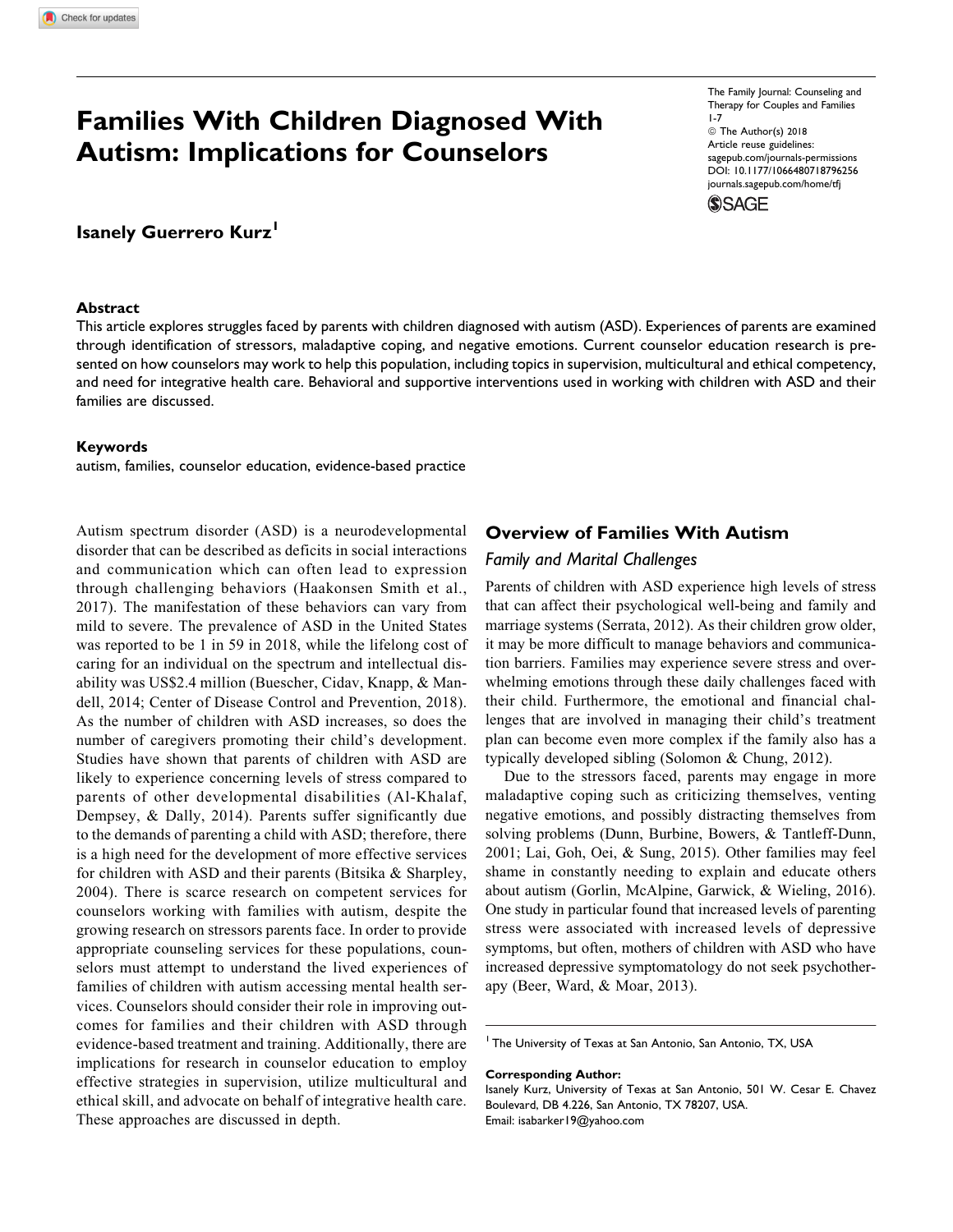# Families With Children Diagnosed With Autism: Implications for Counselors

# Isanely Guerrero Kurz<sup>1</sup>

#### Abstract

The Family Journal: Counseling and Therapy for Couples and Families 1-7 © The Author(s) 2018 Article reuse guidelines: [sagepub.com/journals-permissions](https://sagepub.com/journals-permissions) [DOI: 10.1177/1066480718796256](https://doi.org/10.1177/1066480718796256) [journals.sagepub.com/home/tfj](http://journals.sagepub.com/home/tfj)



This article explores struggles faced by parents with children diagnosed with autism (ASD). Experiences of parents are examined through identification of stressors, maladaptive coping, and negative emotions. Current counselor education research is presented on how counselors may work to help this population, including topics in supervision, multicultural and ethical competency, and need for integrative health care. Behavioral and supportive interventions used in working with children with ASD and their families are discussed.

#### Keywords

autism, families, counselor education, evidence-based practice

Autism spectrum disorder (ASD) is a neurodevelopmental disorder that can be described as deficits in social interactions and communication which can often lead to expression through challenging behaviors (Haakonsen Smith et al., 2017). The manifestation of these behaviors can vary from mild to severe. The prevalence of ASD in the United States was reported to be 1 in 59 in 2018, while the lifelong cost of caring for an individual on the spectrum and intellectual disability was US\$2.4 million (Buescher, Cidav, Knapp, & Mandell, 2014; Center of Disease Control and Prevention, 2018). As the number of children with ASD increases, so does the number of caregivers promoting their child's development. Studies have shown that parents of children with ASD are likely to experience concerning levels of stress compared to parents of other developmental disabilities (Al-Khalaf, Dempsey, & Dally, 2014). Parents suffer significantly due to the demands of parenting a child with ASD; therefore, there is a high need for the development of more effective services for children with ASD and their parents (Bitsika & Sharpley, 2004). There is scarce research on competent services for counselors working with families with autism, despite the growing research on stressors parents face. In order to provide appropriate counseling services for these populations, counselors must attempt to understand the lived experiences of families of children with autism accessing mental health services. Counselors should consider their role in improving outcomes for families and their children with ASD through evidence-based treatment and training. Additionally, there are implications for research in counselor education to employ effective strategies in supervision, utilize multicultural and ethical skill, and advocate on behalf of integrative health care. These approaches are discussed in depth.

# Overview of Families With Autism

# Family and Marital Challenges

Parents of children with ASD experience high levels of stress that can affect their psychological well-being and family and marriage systems (Serrata, 2012). As their children grow older, it may be more difficult to manage behaviors and communication barriers. Families may experience severe stress and overwhelming emotions through these daily challenges faced with their child. Furthermore, the emotional and financial challenges that are involved in managing their child's treatment plan can become even more complex if the family also has a typically developed sibling (Solomon & Chung, 2012).

Due to the stressors faced, parents may engage in more maladaptive coping such as criticizing themselves, venting negative emotions, and possibly distracting themselves from solving problems (Dunn, Burbine, Bowers, & Tantleff-Dunn, 2001; Lai, Goh, Oei, & Sung, 2015). Other families may feel shame in constantly needing to explain and educate others about autism (Gorlin, McAlpine, Garwick, & Wieling, 2016). One study in particular found that increased levels of parenting stress were associated with increased levels of depressive symptoms, but often, mothers of children with ASD who have increased depressive symptomatology do not seek psychotherapy (Beer, Ward, & Moar, 2013).

<sup>1</sup> The University of Texas at San Antonio, San Antonio, TX, USA

#### Corresponding Author:

Isanely Kurz, University of Texas at San Antonio, 501 W. Cesar E. Chavez Boulevard, DB 4.226, San Antonio, TX 78207, USA. Email: [isabarker19@yahoo.com](mailto:isabarker19@yahoo.com)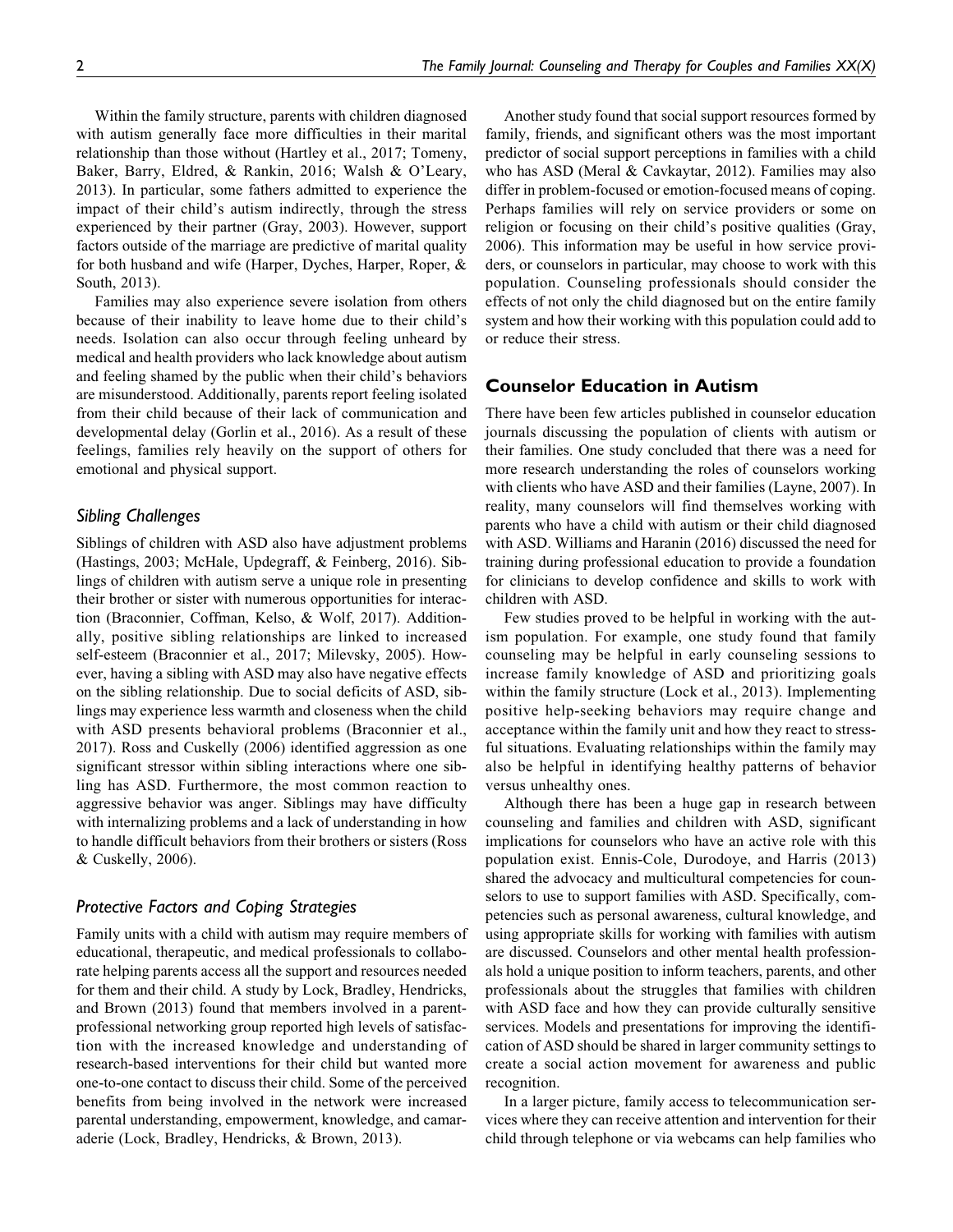Within the family structure, parents with children diagnosed with autism generally face more difficulties in their marital relationship than those without (Hartley et al., 2017; Tomeny, Baker, Barry, Eldred, & Rankin, 2016; Walsh & O'Leary, 2013). In particular, some fathers admitted to experience the impact of their child's autism indirectly, through the stress experienced by their partner (Gray, 2003). However, support factors outside of the marriage are predictive of marital quality for both husband and wife (Harper, Dyches, Harper, Roper, & South, 2013).

Families may also experience severe isolation from others because of their inability to leave home due to their child's needs. Isolation can also occur through feeling unheard by medical and health providers who lack knowledge about autism and feeling shamed by the public when their child's behaviors are misunderstood. Additionally, parents report feeling isolated from their child because of their lack of communication and developmental delay (Gorlin et al., 2016). As a result of these feelings, families rely heavily on the support of others for emotional and physical support.

#### Sibling Challenges

Siblings of children with ASD also have adjustment problems (Hastings, 2003; McHale, Updegraff, & Feinberg, 2016). Siblings of children with autism serve a unique role in presenting their brother or sister with numerous opportunities for interaction (Braconnier, Coffman, Kelso, & Wolf, 2017). Additionally, positive sibling relationships are linked to increased self-esteem (Braconnier et al., 2017; Milevsky, 2005). However, having a sibling with ASD may also have negative effects on the sibling relationship. Due to social deficits of ASD, siblings may experience less warmth and closeness when the child with ASD presents behavioral problems (Braconnier et al., 2017). Ross and Cuskelly (2006) identified aggression as one significant stressor within sibling interactions where one sibling has ASD. Furthermore, the most common reaction to aggressive behavior was anger. Siblings may have difficulty with internalizing problems and a lack of understanding in how to handle difficult behaviors from their brothers or sisters (Ross & Cuskelly, 2006).

# Protective Factors and Coping Strategies

Family units with a child with autism may require members of educational, therapeutic, and medical professionals to collaborate helping parents access all the support and resources needed for them and their child. A study by Lock, Bradley, Hendricks, and Brown (2013) found that members involved in a parentprofessional networking group reported high levels of satisfaction with the increased knowledge and understanding of research-based interventions for their child but wanted more one-to-one contact to discuss their child. Some of the perceived benefits from being involved in the network were increased parental understanding, empowerment, knowledge, and camaraderie (Lock, Bradley, Hendricks, & Brown, 2013).

Another study found that social support resources formed by family, friends, and significant others was the most important predictor of social support perceptions in families with a child who has ASD (Meral & Cavkaytar, 2012). Families may also differ in problem-focused or emotion-focused means of coping. Perhaps families will rely on service providers or some on religion or focusing on their child's positive qualities (Gray, 2006). This information may be useful in how service providers, or counselors in particular, may choose to work with this population. Counseling professionals should consider the effects of not only the child diagnosed but on the entire family system and how their working with this population could add to or reduce their stress.

# Counselor Education in Autism

There have been few articles published in counselor education journals discussing the population of clients with autism or their families. One study concluded that there was a need for more research understanding the roles of counselors working with clients who have ASD and their families (Layne, 2007). In reality, many counselors will find themselves working with parents who have a child with autism or their child diagnosed with ASD. Williams and Haranin (2016) discussed the need for training during professional education to provide a foundation for clinicians to develop confidence and skills to work with children with ASD.

Few studies proved to be helpful in working with the autism population. For example, one study found that family counseling may be helpful in early counseling sessions to increase family knowledge of ASD and prioritizing goals within the family structure (Lock et al., 2013). Implementing positive help-seeking behaviors may require change and acceptance within the family unit and how they react to stressful situations. Evaluating relationships within the family may also be helpful in identifying healthy patterns of behavior versus unhealthy ones.

Although there has been a huge gap in research between counseling and families and children with ASD, significant implications for counselors who have an active role with this population exist. Ennis-Cole, Durodoye, and Harris (2013) shared the advocacy and multicultural competencies for counselors to use to support families with ASD. Specifically, competencies such as personal awareness, cultural knowledge, and using appropriate skills for working with families with autism are discussed. Counselors and other mental health professionals hold a unique position to inform teachers, parents, and other professionals about the struggles that families with children with ASD face and how they can provide culturally sensitive services. Models and presentations for improving the identification of ASD should be shared in larger community settings to create a social action movement for awareness and public recognition.

In a larger picture, family access to telecommunication services where they can receive attention and intervention for their child through telephone or via webcams can help families who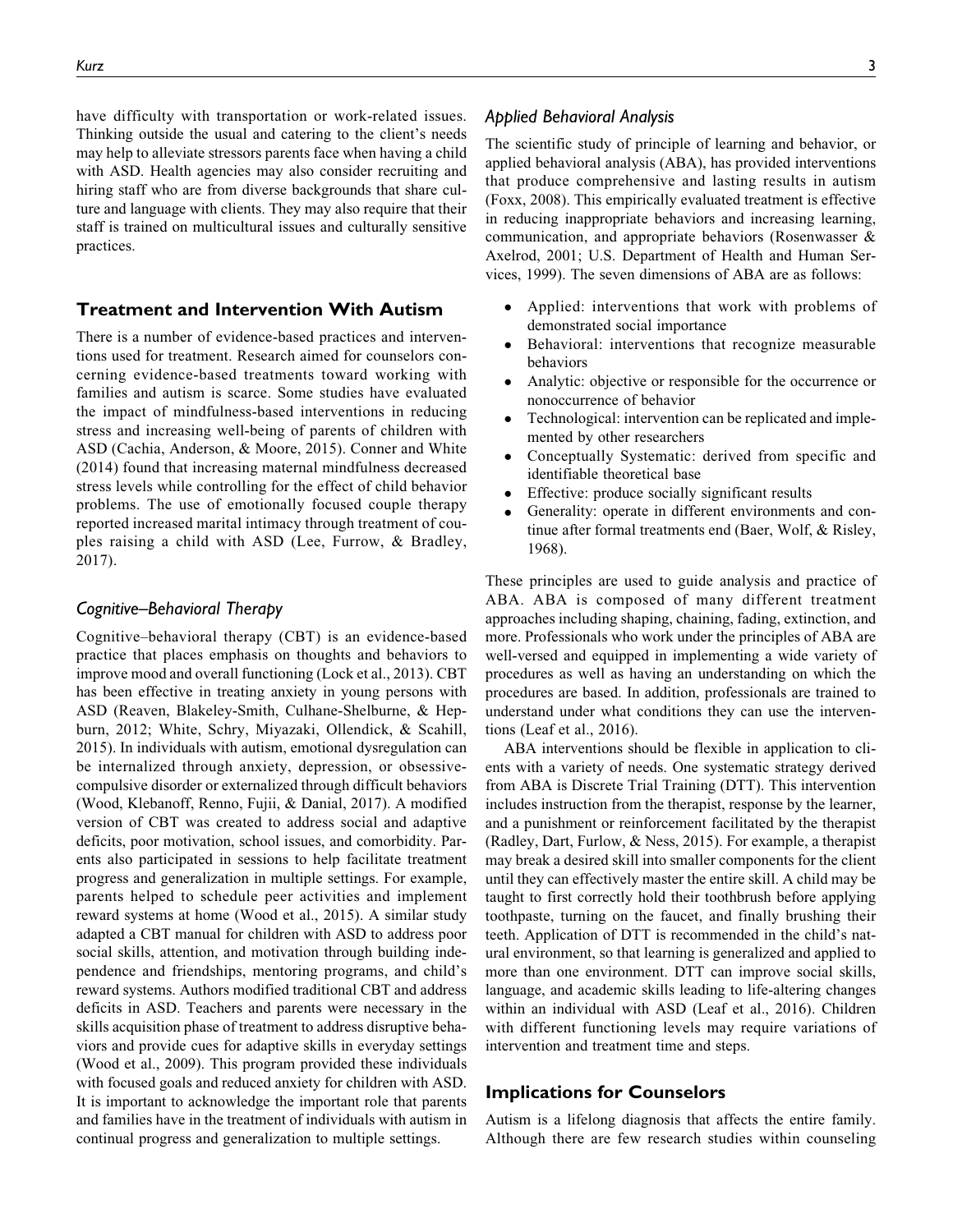have difficulty with transportation or work-related issues. Thinking outside the usual and catering to the client's needs may help to alleviate stressors parents face when having a child with ASD. Health agencies may also consider recruiting and hiring staff who are from diverse backgrounds that share culture and language with clients. They may also require that their staff is trained on multicultural issues and culturally sensitive practices.

# Treatment and Intervention With Autism

There is a number of evidence-based practices and interventions used for treatment. Research aimed for counselors concerning evidence-based treatments toward working with families and autism is scarce. Some studies have evaluated the impact of mindfulness-based interventions in reducing stress and increasing well-being of parents of children with ASD (Cachia, Anderson, & Moore, 2015). Conner and White (2014) found that increasing maternal mindfulness decreased stress levels while controlling for the effect of child behavior problems. The use of emotionally focused couple therapy reported increased marital intimacy through treatment of couples raising a child with ASD (Lee, Furrow, & Bradley, 2017).

#### Cognitive–Behavioral Therapy

Cognitive–behavioral therapy (CBT) is an evidence-based practice that places emphasis on thoughts and behaviors to improve mood and overall functioning (Lock et al., 2013). CBT has been effective in treating anxiety in young persons with ASD (Reaven, Blakeley-Smith, Culhane-Shelburne, & Hepburn, 2012; White, Schry, Miyazaki, Ollendick, & Scahill, 2015). In individuals with autism, emotional dysregulation can be internalized through anxiety, depression, or obsessivecompulsive disorder or externalized through difficult behaviors (Wood, Klebanoff, Renno, Fujii, & Danial, 2017). A modified version of CBT was created to address social and adaptive deficits, poor motivation, school issues, and comorbidity. Parents also participated in sessions to help facilitate treatment progress and generalization in multiple settings. For example, parents helped to schedule peer activities and implement reward systems at home (Wood et al., 2015). A similar study adapted a CBT manual for children with ASD to address poor social skills, attention, and motivation through building independence and friendships, mentoring programs, and child's reward systems. Authors modified traditional CBT and address deficits in ASD. Teachers and parents were necessary in the skills acquisition phase of treatment to address disruptive behaviors and provide cues for adaptive skills in everyday settings (Wood et al., 2009). This program provided these individuals with focused goals and reduced anxiety for children with ASD. It is important to acknowledge the important role that parents and families have in the treatment of individuals with autism in continual progress and generalization to multiple settings.

### Applied Behavioral Analysis

The scientific study of principle of learning and behavior, or applied behavioral analysis (ABA), has provided interventions that produce comprehensive and lasting results in autism (Foxx, 2008). This empirically evaluated treatment is effective in reducing inappropriate behaviors and increasing learning, communication, and appropriate behaviors (Rosenwasser & Axelrod, 2001; U.S. Department of Health and Human Services, 1999). The seven dimensions of ABA are as follows:

- $\bullet$  Applied: interventions that work with problems of demonstrated social importance
- $\bullet$  Behavioral: interventions that recognize measurable behaviors
- $\bullet$  Analytic: objective or responsible for the occurrence or nonoccurrence of behavior
- $\bullet$  Technological: intervention can be replicated and implemented by other researchers
- $\bullet$  Conceptually Systematic: derived from specific and identifiable theoretical base
- $\bullet$ Effective: produce socially significant results
- $\bullet$  Generality: operate in different environments and continue after formal treatments end (Baer, Wolf, & Risley, 1968).

These principles are used to guide analysis and practice of ABA. ABA is composed of many different treatment approaches including shaping, chaining, fading, extinction, and more. Professionals who work under the principles of ABA are well-versed and equipped in implementing a wide variety of procedures as well as having an understanding on which the procedures are based. In addition, professionals are trained to understand under what conditions they can use the interventions (Leaf et al., 2016).

ABA interventions should be flexible in application to clients with a variety of needs. One systematic strategy derived from ABA is Discrete Trial Training (DTT). This intervention includes instruction from the therapist, response by the learner, and a punishment or reinforcement facilitated by the therapist (Radley, Dart, Furlow, & Ness, 2015). For example, a therapist may break a desired skill into smaller components for the client until they can effectively master the entire skill. A child may be taught to first correctly hold their toothbrush before applying toothpaste, turning on the faucet, and finally brushing their teeth. Application of DTT is recommended in the child's natural environment, so that learning is generalized and applied to more than one environment. DTT can improve social skills, language, and academic skills leading to life-altering changes within an individual with ASD (Leaf et al., 2016). Children with different functioning levels may require variations of intervention and treatment time and steps.

# Implications for Counselors

Autism is a lifelong diagnosis that affects the entire family. Although there are few research studies within counseling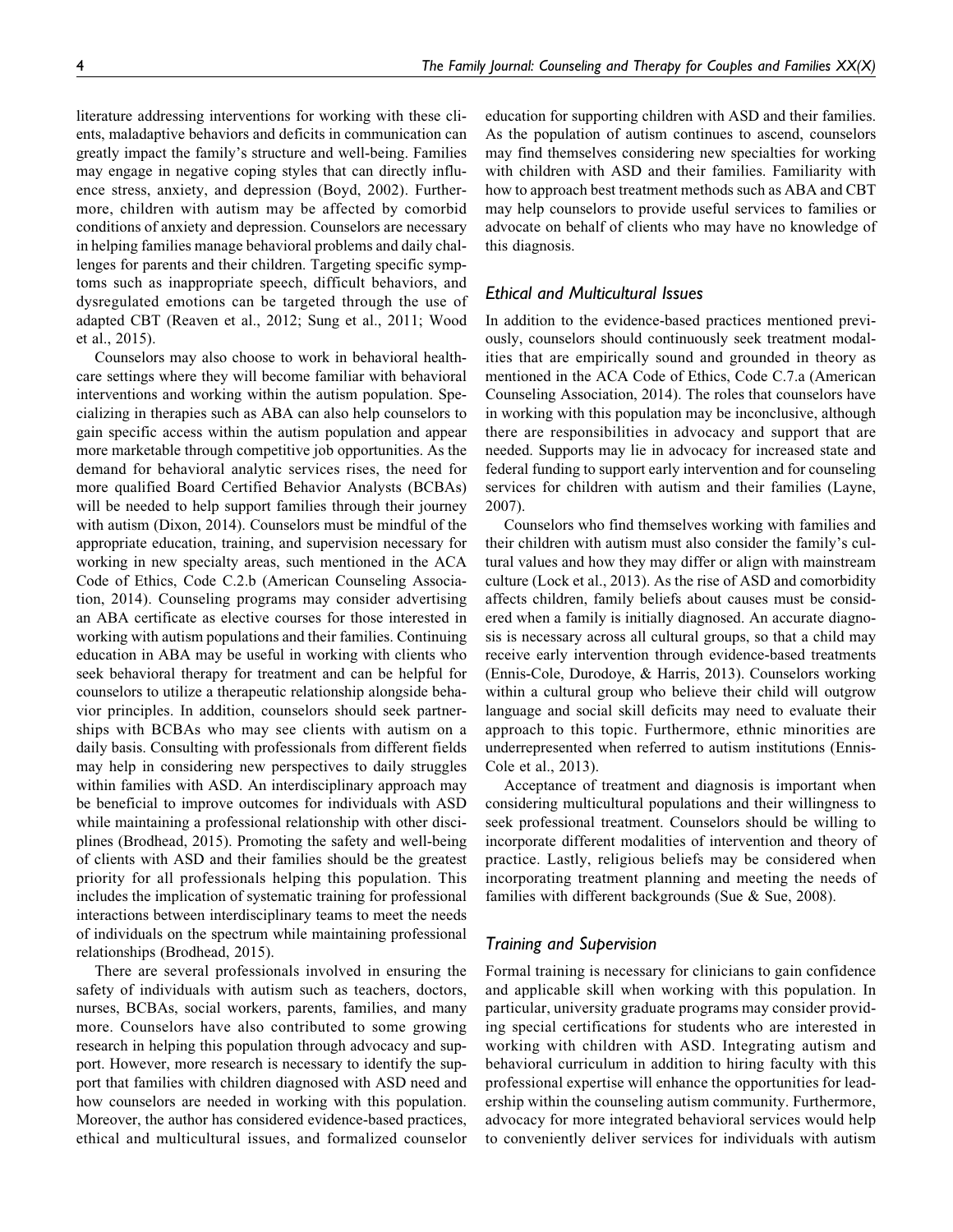literature addressing interventions for working with these clients, maladaptive behaviors and deficits in communication can greatly impact the family's structure and well-being. Families may engage in negative coping styles that can directly influence stress, anxiety, and depression (Boyd, 2002). Furthermore, children with autism may be affected by comorbid conditions of anxiety and depression. Counselors are necessary in helping families manage behavioral problems and daily challenges for parents and their children. Targeting specific symptoms such as inappropriate speech, difficult behaviors, and dysregulated emotions can be targeted through the use of adapted CBT (Reaven et al., 2012; Sung et al., 2011; Wood et al., 2015).

Counselors may also choose to work in behavioral healthcare settings where they will become familiar with behavioral interventions and working within the autism population. Specializing in therapies such as ABA can also help counselors to gain specific access within the autism population and appear more marketable through competitive job opportunities. As the demand for behavioral analytic services rises, the need for more qualified Board Certified Behavior Analysts (BCBAs) will be needed to help support families through their journey with autism (Dixon, 2014). Counselors must be mindful of the appropriate education, training, and supervision necessary for working in new specialty areas, such mentioned in the ACA Code of Ethics, Code C.2.b (American Counseling Association, 2014). Counseling programs may consider advertising an ABA certificate as elective courses for those interested in working with autism populations and their families. Continuing education in ABA may be useful in working with clients who seek behavioral therapy for treatment and can be helpful for counselors to utilize a therapeutic relationship alongside behavior principles. In addition, counselors should seek partnerships with BCBAs who may see clients with autism on a daily basis. Consulting with professionals from different fields may help in considering new perspectives to daily struggles within families with ASD. An interdisciplinary approach may be beneficial to improve outcomes for individuals with ASD while maintaining a professional relationship with other disciplines (Brodhead, 2015). Promoting the safety and well-being of clients with ASD and their families should be the greatest priority for all professionals helping this population. This includes the implication of systematic training for professional interactions between interdisciplinary teams to meet the needs of individuals on the spectrum while maintaining professional relationships (Brodhead, 2015).

There are several professionals involved in ensuring the safety of individuals with autism such as teachers, doctors, nurses, BCBAs, social workers, parents, families, and many more. Counselors have also contributed to some growing research in helping this population through advocacy and support. However, more research is necessary to identify the support that families with children diagnosed with ASD need and how counselors are needed in working with this population. Moreover, the author has considered evidence-based practices, ethical and multicultural issues, and formalized counselor education for supporting children with ASD and their families. As the population of autism continues to ascend, counselors may find themselves considering new specialties for working with children with ASD and their families. Familiarity with how to approach best treatment methods such as ABA and CBT may help counselors to provide useful services to families or advocate on behalf of clients who may have no knowledge of this diagnosis.

# Ethical and Multicultural Issues

In addition to the evidence-based practices mentioned previously, counselors should continuously seek treatment modalities that are empirically sound and grounded in theory as mentioned in the ACA Code of Ethics, Code C.7.a (American Counseling Association, 2014). The roles that counselors have in working with this population may be inconclusive, although there are responsibilities in advocacy and support that are needed. Supports may lie in advocacy for increased state and federal funding to support early intervention and for counseling services for children with autism and their families (Layne, 2007).

Counselors who find themselves working with families and their children with autism must also consider the family's cultural values and how they may differ or align with mainstream culture (Lock et al., 2013). As the rise of ASD and comorbidity affects children, family beliefs about causes must be considered when a family is initially diagnosed. An accurate diagnosis is necessary across all cultural groups, so that a child may receive early intervention through evidence-based treatments (Ennis-Cole, Durodoye, & Harris, 2013). Counselors working within a cultural group who believe their child will outgrow language and social skill deficits may need to evaluate their approach to this topic. Furthermore, ethnic minorities are underrepresented when referred to autism institutions (Ennis-Cole et al., 2013).

Acceptance of treatment and diagnosis is important when considering multicultural populations and their willingness to seek professional treatment. Counselors should be willing to incorporate different modalities of intervention and theory of practice. Lastly, religious beliefs may be considered when incorporating treatment planning and meeting the needs of families with different backgrounds (Sue & Sue, 2008).

#### Training and Supervision

Formal training is necessary for clinicians to gain confidence and applicable skill when working with this population. In particular, university graduate programs may consider providing special certifications for students who are interested in working with children with ASD. Integrating autism and behavioral curriculum in addition to hiring faculty with this professional expertise will enhance the opportunities for leadership within the counseling autism community. Furthermore, advocacy for more integrated behavioral services would help to conveniently deliver services for individuals with autism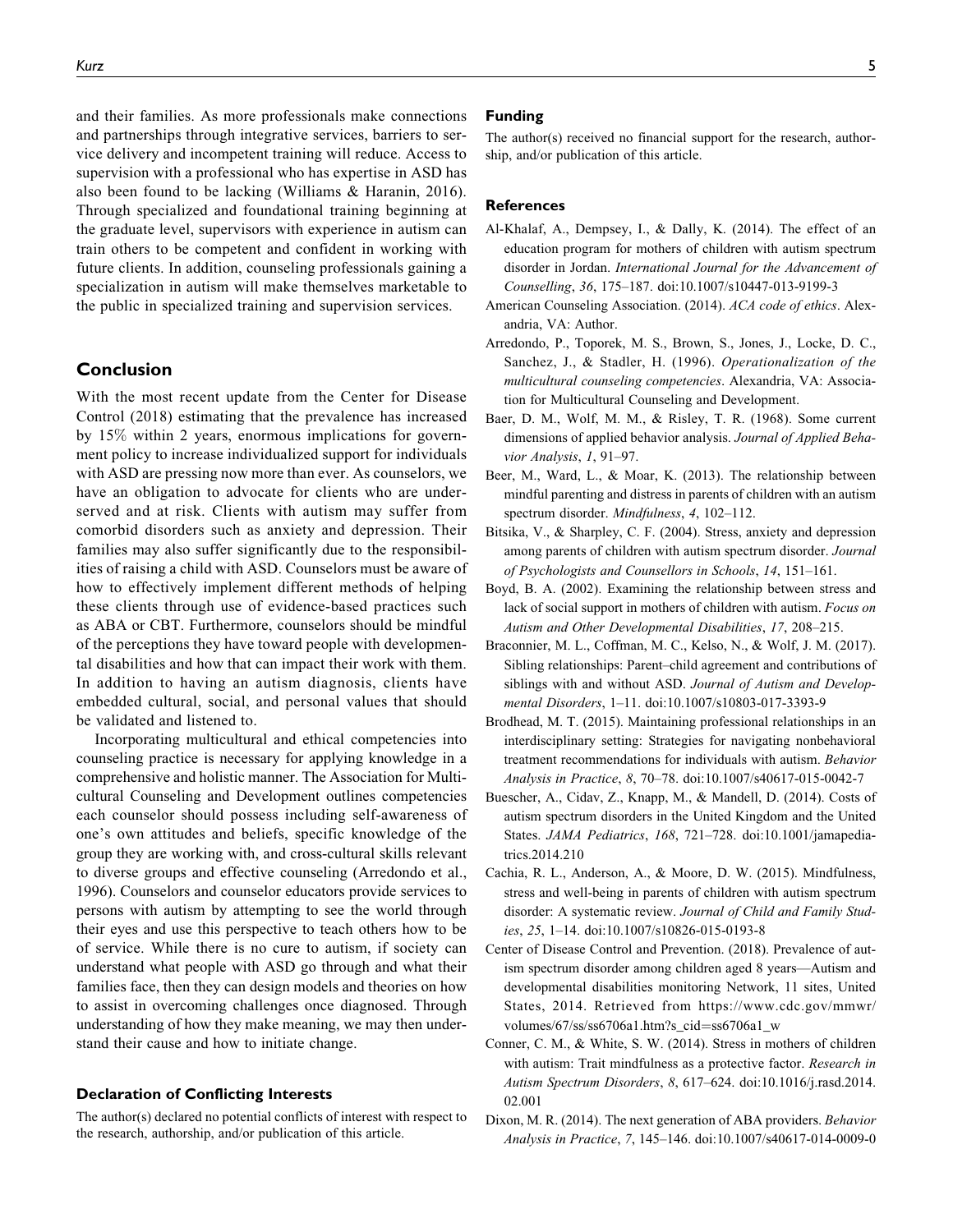and their families. As more professionals make connections and partnerships through integrative services, barriers to service delivery and incompetent training will reduce. Access to supervision with a professional who has expertise in ASD has also been found to be lacking (Williams & Haranin, 2016). Through specialized and foundational training beginning at the graduate level, supervisors with experience in autism can train others to be competent and confident in working with future clients. In addition, counseling professionals gaining a specialization in autism will make themselves marketable to the public in specialized training and supervision services.

# Conclusion

With the most recent update from the Center for Disease Control (2018) estimating that the prevalence has increased by 15% within 2 years, enormous implications for government policy to increase individualized support for individuals with ASD are pressing now more than ever. As counselors, we have an obligation to advocate for clients who are underserved and at risk. Clients with autism may suffer from comorbid disorders such as anxiety and depression. Their families may also suffer significantly due to the responsibilities of raising a child with ASD. Counselors must be aware of how to effectively implement different methods of helping these clients through use of evidence-based practices such as ABA or CBT. Furthermore, counselors should be mindful of the perceptions they have toward people with developmental disabilities and how that can impact their work with them. In addition to having an autism diagnosis, clients have embedded cultural, social, and personal values that should be validated and listened to.

Incorporating multicultural and ethical competencies into counseling practice is necessary for applying knowledge in a comprehensive and holistic manner. The Association for Multicultural Counseling and Development outlines competencies each counselor should possess including self-awareness of one's own attitudes and beliefs, specific knowledge of the group they are working with, and cross-cultural skills relevant to diverse groups and effective counseling (Arredondo et al., 1996). Counselors and counselor educators provide services to persons with autism by attempting to see the world through their eyes and use this perspective to teach others how to be of service. While there is no cure to autism, if society can understand what people with ASD go through and what their families face, then they can design models and theories on how to assist in overcoming challenges once diagnosed. Through understanding of how they make meaning, we may then understand their cause and how to initiate change.

#### Declaration of Conflicting Interests

The author(s) declared no potential conflicts of interest with respect to the research, authorship, and/or publication of this article.

#### Funding

The author(s) received no financial support for the research, authorship, and/or publication of this article.

#### References

- Al-Khalaf, A., Dempsey, I., & Dally, K. (2014). The effect of an education program for mothers of children with autism spectrum disorder in Jordan. International Journal for the Advancement of Counselling, 36, 175–187. doi:10.1007/s10447-013-9199-3
- American Counseling Association. (2014). ACA code of ethics. Alexandria, VA: Author.
- Arredondo, P., Toporek, M. S., Brown, S., Jones, J., Locke, D. C., Sanchez, J., & Stadler, H. (1996). Operationalization of the multicultural counseling competencies. Alexandria, VA: Association for Multicultural Counseling and Development.
- Baer, D. M., Wolf, M. M., & Risley, T. R. (1968). Some current dimensions of applied behavior analysis. Journal of Applied Behavior Analysis, 1, 91–97.
- Beer, M., Ward, L., & Moar, K. (2013). The relationship between mindful parenting and distress in parents of children with an autism spectrum disorder. Mindfulness, 4, 102–112.
- Bitsika, V., & Sharpley, C. F. (2004). Stress, anxiety and depression among parents of children with autism spectrum disorder. Journal of Psychologists and Counsellors in Schools, 14, 151–161.
- Boyd, B. A. (2002). Examining the relationship between stress and lack of social support in mothers of children with autism. Focus on Autism and Other Developmental Disabilities, 17, 208–215.
- Braconnier, M. L., Coffman, M. C., Kelso, N., & Wolf, J. M. (2017). Sibling relationships: Parent–child agreement and contributions of siblings with and without ASD. Journal of Autism and Developmental Disorders, 1–11. doi:10.1007/s10803-017-3393-9
- Brodhead, M. T. (2015). Maintaining professional relationships in an interdisciplinary setting: Strategies for navigating nonbehavioral treatment recommendations for individuals with autism. Behavior Analysis in Practice, 8, 70–78. doi:10.1007/s40617-015-0042-7
- Buescher, A., Cidav, Z., Knapp, M., & Mandell, D. (2014). Costs of autism spectrum disorders in the United Kingdom and the United States. JAMA Pediatrics, 168, 721–728. doi:10.1001/jamapediatrics.2014.210
- Cachia, R. L., Anderson, A., & Moore, D. W. (2015). Mindfulness, stress and well-being in parents of children with autism spectrum disorder: A systematic review. Journal of Child and Family Studies, 25, 1–14. doi:10.1007/s10826-015-0193-8
- Center of Disease Control and Prevention. (2018). Prevalence of autism spectrum disorder among children aged 8 years—Autism and developmental disabilities monitoring Network, 11 sites, United States, 2014. Retrieved from [https://www.cdc.gov/mmwr/](https://www.cdc.gov/mmwr/volumes/67/ss/ss6706a1.htm?s_cid=ss6706a1_w) [volumes/67/ss/ss6706a1.htm?s\\_cid](https://www.cdc.gov/mmwr/volumes/67/ss/ss6706a1.htm?s_cid=ss6706a1_w)=[ss6706a1\\_w](https://www.cdc.gov/mmwr/volumes/67/ss/ss6706a1.htm?s_cid=ss6706a1_w)
- Conner, C. M., & White, S. W. (2014). Stress in mothers of children with autism: Trait mindfulness as a protective factor. Research in Autism Spectrum Disorders, 8, 617–624. doi:10.1016/j.rasd.2014. 02.001
- Dixon, M. R. (2014). The next generation of ABA providers. Behavior Analysis in Practice, 7, 145–146. doi:10.1007/s40617-014-0009-0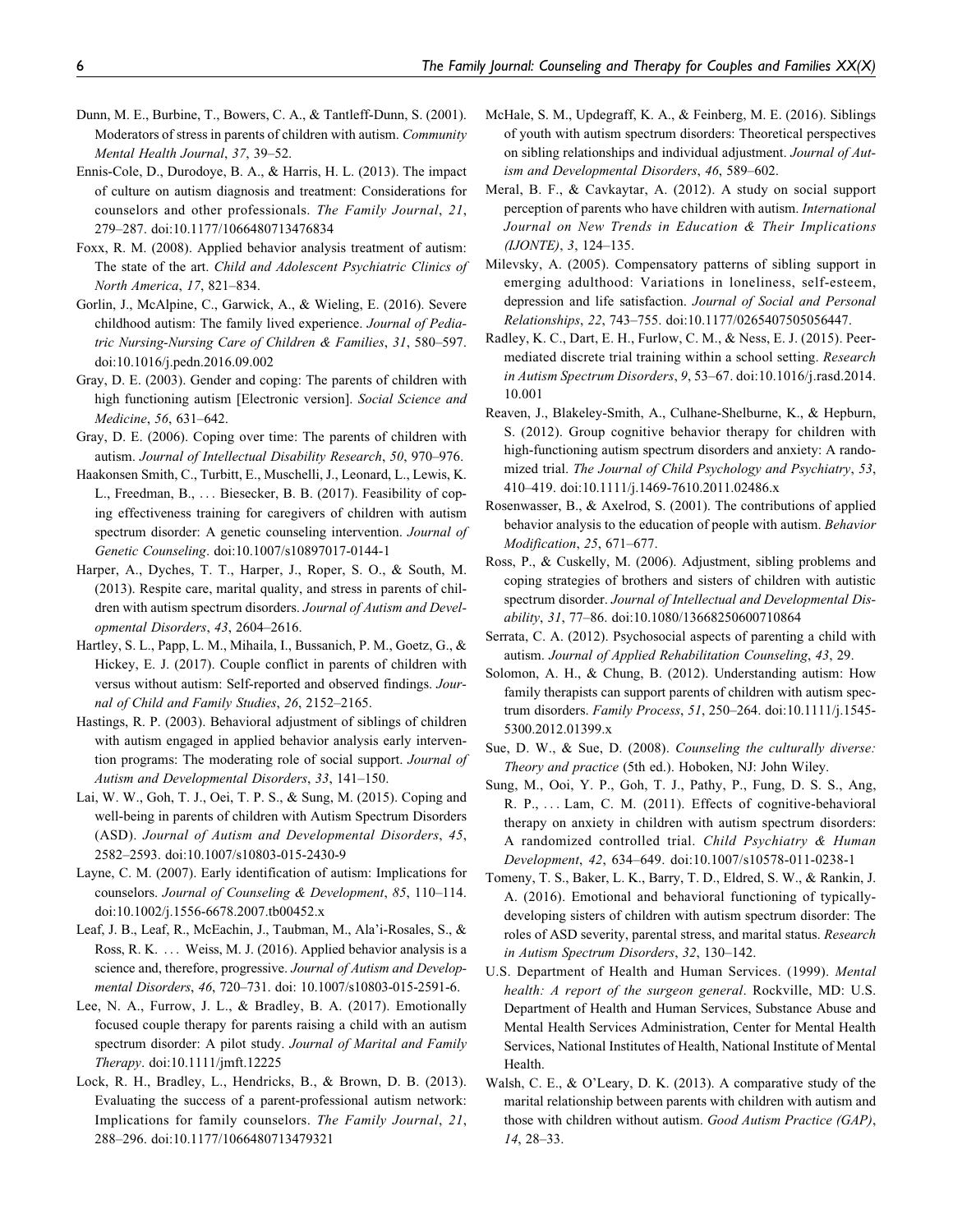- Dunn, M. E., Burbine, T., Bowers, C. A., & Tantleff-Dunn, S. (2001). Moderators of stress in parents of children with autism. Community Mental Health Journal, 37, 39–52.
- Ennis-Cole, D., Durodoye, B. A., & Harris, H. L. (2013). The impact of culture on autism diagnosis and treatment: Considerations for counselors and other professionals. The Family Journal, 21, 279–287. doi:10.1177/1066480713476834
- Foxx, R. M. (2008). Applied behavior analysis treatment of autism: The state of the art. Child and Adolescent Psychiatric Clinics of North America, 17, 821–834.
- Gorlin, J., McAlpine, C., Garwick, A., & Wieling, E. (2016). Severe childhood autism: The family lived experience. Journal of Pediatric Nursing-Nursing Care of Children & Families, 31, 580–597. doi:10.1016/j.pedn.2016.09.002
- Gray, D. E. (2003). Gender and coping: The parents of children with high functioning autism [Electronic version]. Social Science and Medicine, 56, 631–642.
- Gray, D. E. (2006). Coping over time: The parents of children with autism. Journal of Intellectual Disability Research, 50, 970–976.
- Haakonsen Smith, C., Turbitt, E., Muschelli, J., Leonard, L., Lewis, K. L., Freedman, B., ... Biesecker, B. B. (2017). Feasibility of coping effectiveness training for caregivers of children with autism spectrum disorder: A genetic counseling intervention. Journal of Genetic Counseling. doi:10.1007/s10897017-0144-1
- Harper, A., Dyches, T. T., Harper, J., Roper, S. O., & South, M. (2013). Respite care, marital quality, and stress in parents of children with autism spectrum disorders. Journal of Autism and Developmental Disorders, 43, 2604–2616.
- Hartley, S. L., Papp, L. M., Mihaila, I., Bussanich, P. M., Goetz, G., & Hickey, E. J. (2017). Couple conflict in parents of children with versus without autism: Self-reported and observed findings. Journal of Child and Family Studies, 26, 2152–2165.
- Hastings, R. P. (2003). Behavioral adjustment of siblings of children with autism engaged in applied behavior analysis early intervention programs: The moderating role of social support. Journal of Autism and Developmental Disorders, 33, 141–150.
- Lai, W. W., Goh, T. J., Oei, T. P. S., & Sung, M. (2015). Coping and well-being in parents of children with Autism Spectrum Disorders (ASD). Journal of Autism and Developmental Disorders, 45, 2582–2593. doi:10.1007/s10803-015-2430-9
- Layne, C. M. (2007). Early identification of autism: Implications for counselors. Journal of Counseling & Development, 85, 110–114. doi:10.1002/j.1556-6678.2007.tb00452.x
- Leaf, J. B., Leaf, R., McEachin, J., Taubman, M., Ala'i-Rosales, S., & Ross, R. K. ... Weiss, M. J. (2016). Applied behavior analysis is a science and, therefore, progressive. Journal of Autism and Developmental Disorders, 46, 720–731. doi: 10.1007/s10803-015-2591-6.
- Lee, N. A., Furrow, J. L., & Bradley, B. A. (2017). Emotionally focused couple therapy for parents raising a child with an autism spectrum disorder: A pilot study. Journal of Marital and Family Therapy. doi:10.1111/jmft.12225
- Lock, R. H., Bradley, L., Hendricks, B., & Brown, D. B. (2013). Evaluating the success of a parent-professional autism network: Implications for family counselors. The Family Journal, 21, 288–296. doi:10.1177/1066480713479321
- McHale, S. M., Updegraff, K. A., & Feinberg, M. E. (2016). Siblings of youth with autism spectrum disorders: Theoretical perspectives on sibling relationships and individual adjustment. Journal of Autism and Developmental Disorders, 46, 589–602.
- Meral, B. F., & Cavkaytar, A. (2012). A study on social support perception of parents who have children with autism. International Journal on New Trends in Education & Their Implications (IJONTE), 3, 124–135.
- Milevsky, A. (2005). Compensatory patterns of sibling support in emerging adulthood: Variations in loneliness, self-esteem, depression and life satisfaction. Journal of Social and Personal Relationships, 22, 743–755. doi:10.1177/0265407505056447.
- Radley, K. C., Dart, E. H., Furlow, C. M., & Ness, E. J. (2015). Peermediated discrete trial training within a school setting. Research in Autism Spectrum Disorders, 9, 53–67. doi:10.1016/j.rasd.2014. 10.001
- Reaven, J., Blakeley-Smith, A., Culhane-Shelburne, K., & Hepburn, S. (2012). Group cognitive behavior therapy for children with high-functioning autism spectrum disorders and anxiety: A randomized trial. The Journal of Child Psychology and Psychiatry, 53, 410–419. doi:10.1111/j.1469-7610.2011.02486.x
- Rosenwasser, B., & Axelrod, S. (2001). The contributions of applied behavior analysis to the education of people with autism. Behavior Modification, 25, 671–677.
- Ross, P., & Cuskelly, M. (2006). Adjustment, sibling problems and coping strategies of brothers and sisters of children with autistic spectrum disorder. Journal of Intellectual and Developmental Disability, 31, 77–86. doi:10.1080/13668250600710864
- Serrata, C. A. (2012). Psychosocial aspects of parenting a child with autism. Journal of Applied Rehabilitation Counseling, 43, 29.
- Solomon, A. H., & Chung, B. (2012). Understanding autism: How family therapists can support parents of children with autism spectrum disorders. Family Process, 51, 250–264. doi:10.1111/j.1545- 5300.2012.01399.x
- Sue, D. W., & Sue, D. (2008). Counseling the culturally diverse: Theory and practice (5th ed.). Hoboken, NJ: John Wiley.
- Sung, M., Ooi, Y. P., Goh, T. J., Pathy, P., Fung, D. S. S., Ang, R. P., ... Lam, C. M. (2011). Effects of cognitive-behavioral therapy on anxiety in children with autism spectrum disorders: A randomized controlled trial. Child Psychiatry & Human Development, 42, 634–649. doi:10.1007/s10578-011-0238-1
- Tomeny, T. S., Baker, L. K., Barry, T. D., Eldred, S. W., & Rankin, J. A. (2016). Emotional and behavioral functioning of typicallydeveloping sisters of children with autism spectrum disorder: The roles of ASD severity, parental stress, and marital status. Research in Autism Spectrum Disorders, 32, 130–142.
- U.S. Department of Health and Human Services. (1999). Mental health: A report of the surgeon general. Rockville, MD: U.S. Department of Health and Human Services, Substance Abuse and Mental Health Services Administration, Center for Mental Health Services, National Institutes of Health, National Institute of Mental Health.
- Walsh, C. E., & O'Leary, D. K. (2013). A comparative study of the marital relationship between parents with children with autism and those with children without autism. Good Autism Practice (GAP), 14, 28–33.